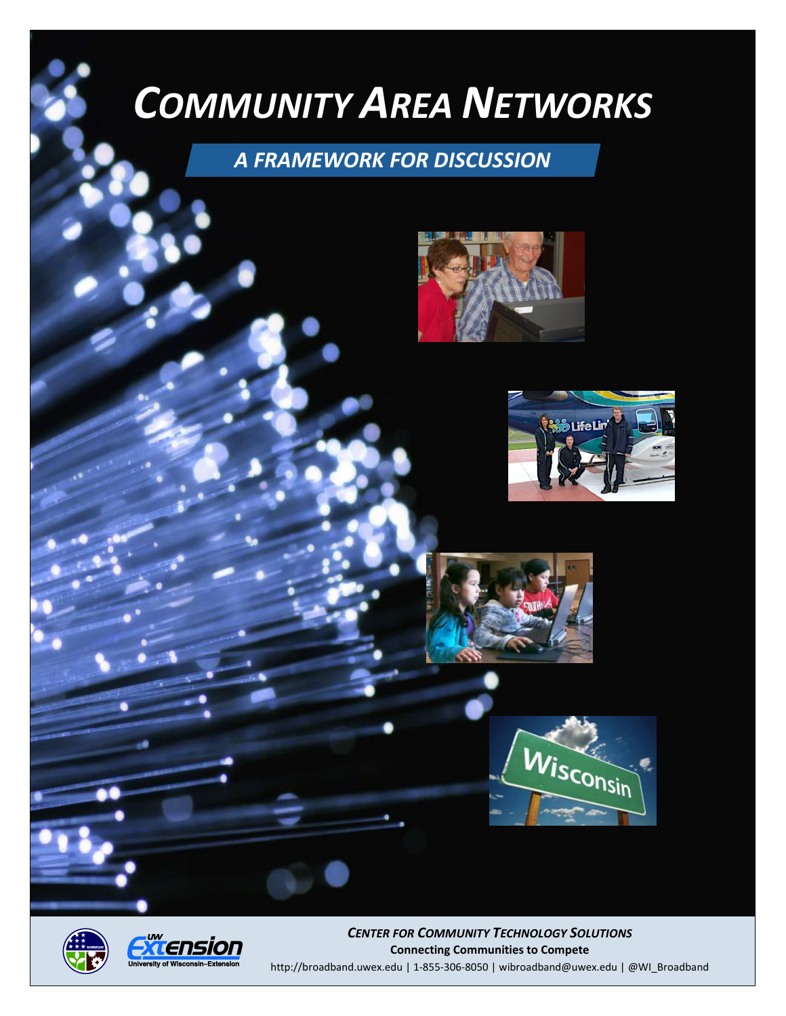# *COMMUNITY AREA NETWORKS*

# *A FRAMEWORK FOR DISCUSSION*











*CENTER FOR COMMUNITY TECHNOLOGY SOLUTIONS* **Connecting Communities to Compete** <http://broadband.uwex.edu> | 1-855-306-8050 | [wibroadband@uwex.edu](mailto:wibroadband@uwex.edu) | @WI\_Broadband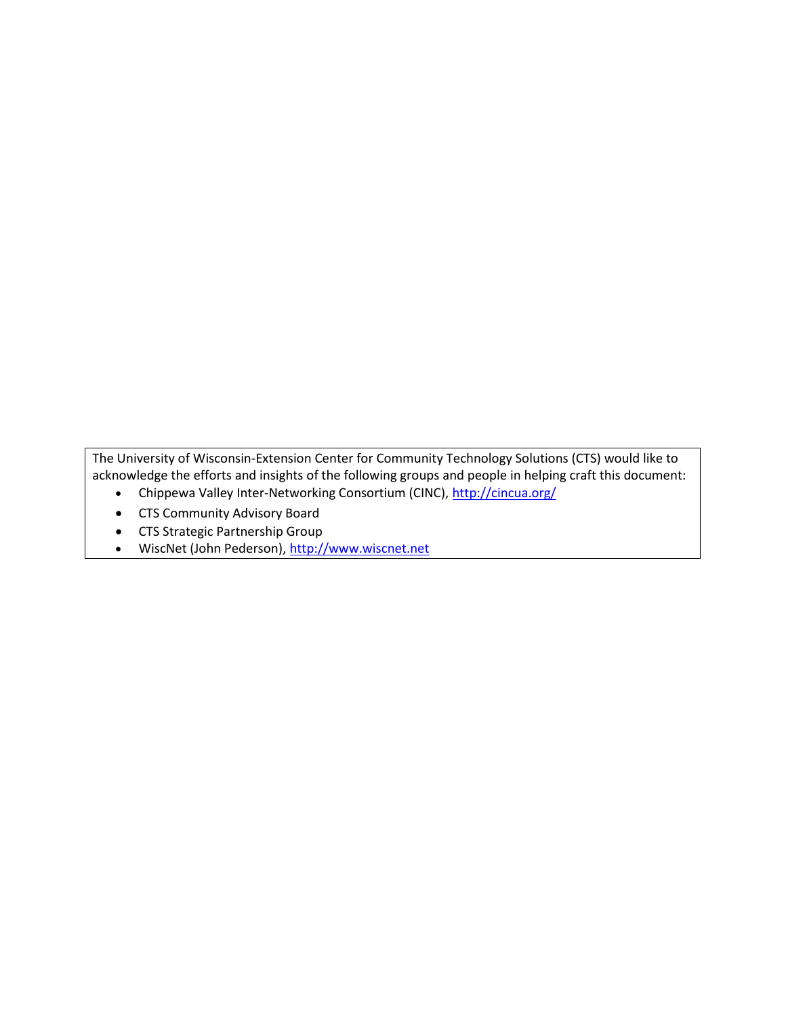The University of Wisconsin-Extension Center for Community Technology Solutions (CTS) would like to acknowledge the efforts and insights of the following groups and people in helping craft this document:

- Chippewa Valley Inter-Networking Consortium (CINC), <http://cincua.org/>
- CTS Community Advisory Board
- CTS Strategic Partnership Group
- <span id="page-1-0"></span>• WiscNet (John Pederson), [http://www.wiscnet.net](http://www.wiscnet.net/)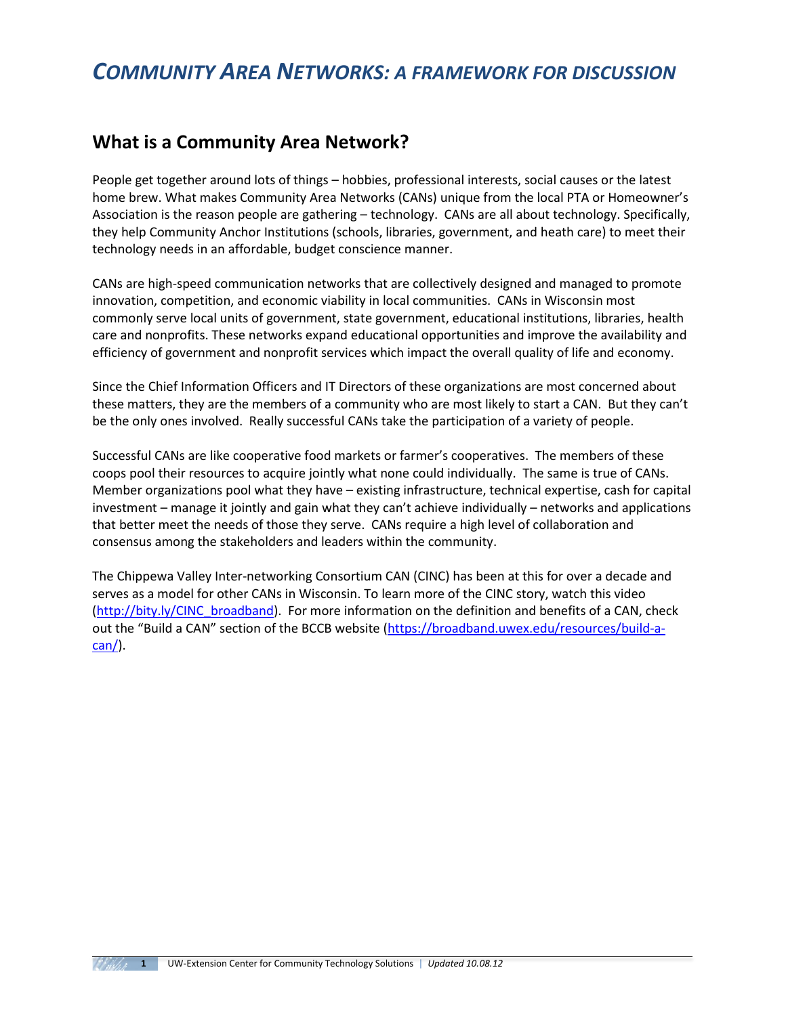# *COMMUNITY AREA NETWORKS: A FRAMEWORK FOR DISCUSSION*

#### **What is a Community Area Network?**

People get together around lots of things – hobbies, professional interests, social causes or the latest home brew. What makes Community Area Networks (CANs) unique from the local PTA or Homeowner's Association is the reason people are gathering – technology. CANs are all about technology. Specifically, they help Community Anchor Institutions (schools, libraries, government, and heath care) to meet their technology needs in an affordable, budget conscience manner.

CANs are high-speed communication networks that are collectively designed and managed to promote innovation, competition, and economic viability in local communities. CANs in Wisconsin most commonly serve local units of government, state government, educational institutions, libraries, health care and nonprofits. These networks expand educational opportunities and improve the availability and efficiency of government and nonprofit services which impact the overall quality of life and economy.

Since the Chief Information Officers and IT Directors of these organizations are most concerned about these matters, they are the members of a community who are most likely to start a CAN. But they can't be the only ones involved. Really successful CANs take the participation of a variety of people.

Successful CANs are like cooperative food markets or farmer's cooperatives. The members of these coops pool their resources to acquire jointly what none could individually. The same is true of CANs. Member organizations pool what they have – existing infrastructure, technical expertise, cash for capital investment – manage it jointly and gain what they can't achieve individually – networks and applications that better meet the needs of those they serve. CANs require a high level of collaboration and consensus among the stakeholders and leaders within the community.

The Chippewa Valley Inter-networking Consortium CAN (CINC) has been at this for over a decade and serves as a model for other CANs in Wisconsin. To learn more of the CINC story, watch this video [\(http://bity.ly/CINC\\_broadband\)](http://bity.ly/CINC_broadband). For more information on the definition and benefits of a CAN, check out the "Build a CAN" section of the BCCB website [\(https://broadband.uwex.edu/resources/build-a](https://broadband.uwex.edu/resources/build-a-can/)[can/\)](https://broadband.uwex.edu/resources/build-a-can/).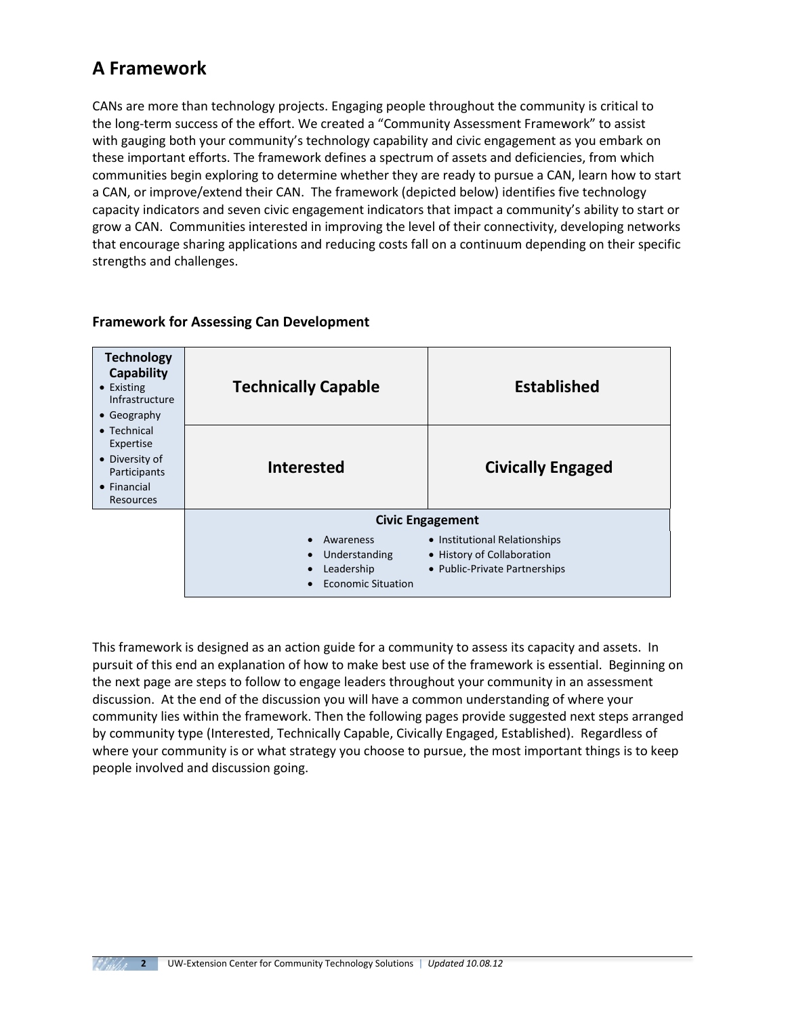# **A Framework**

CANs are more than technology projects. Engaging people throughout the community is critical to the long-term success of the effort. We created a "Community Assessment Framework" to assist with gauging both your community's technology capability and civic engagement as you embark on these important efforts. The framework defines a spectrum of assets and deficiencies, from which communities begin exploring to determine whether they are ready to pursue a CAN, learn how to start a CAN, or improve/extend their CAN. The framework (depicted below) identifies five technology capacity indicators and seven civic engagement indicators that impact a community's ability to start or grow a CAN. Communities interested in improving the level of their connectivity, developing networks that encourage sharing applications and reducing costs fall on a continuum depending on their specific strengths and challenges.

| <b>Technology</b><br>Capability<br>$\bullet$ Existing<br>Infrastructure<br>$\bullet$ Geography                | <b>Technically Capable</b>                                            | <b>Established</b>                                                                           |  |
|---------------------------------------------------------------------------------------------------------------|-----------------------------------------------------------------------|----------------------------------------------------------------------------------------------|--|
| $\bullet$ Technical<br>Expertise<br>• Diversity of<br>Participants<br>$\bullet$ Financial<br><b>Resources</b> | <b>Interested</b>                                                     | <b>Civically Engaged</b>                                                                     |  |
|                                                                                                               |                                                                       | <b>Civic Engagement</b>                                                                      |  |
|                                                                                                               | Awareness<br>Understanding<br>Leadership<br><b>Economic Situation</b> | • Institutional Relationships<br>• History of Collaboration<br>• Public-Private Partnerships |  |

#### **Framework for Assessing Can Development**

This framework is designed as an action guide for a community to assess its capacity and assets. In pursuit of this end an explanation of how to make best use of the framework is essential. Beginning on the next page are steps to follow to engage leaders throughout your community in an assessment discussion. At the end of the discussion you will have a common understanding of where your community lies within the framework. Then the following pages provide suggested next steps arranged by community type (Interested, Technically Capable, Civically Engaged, Established). Regardless of where your community is or what strategy you choose to pursue, the most important things is to keep people involved and discussion going.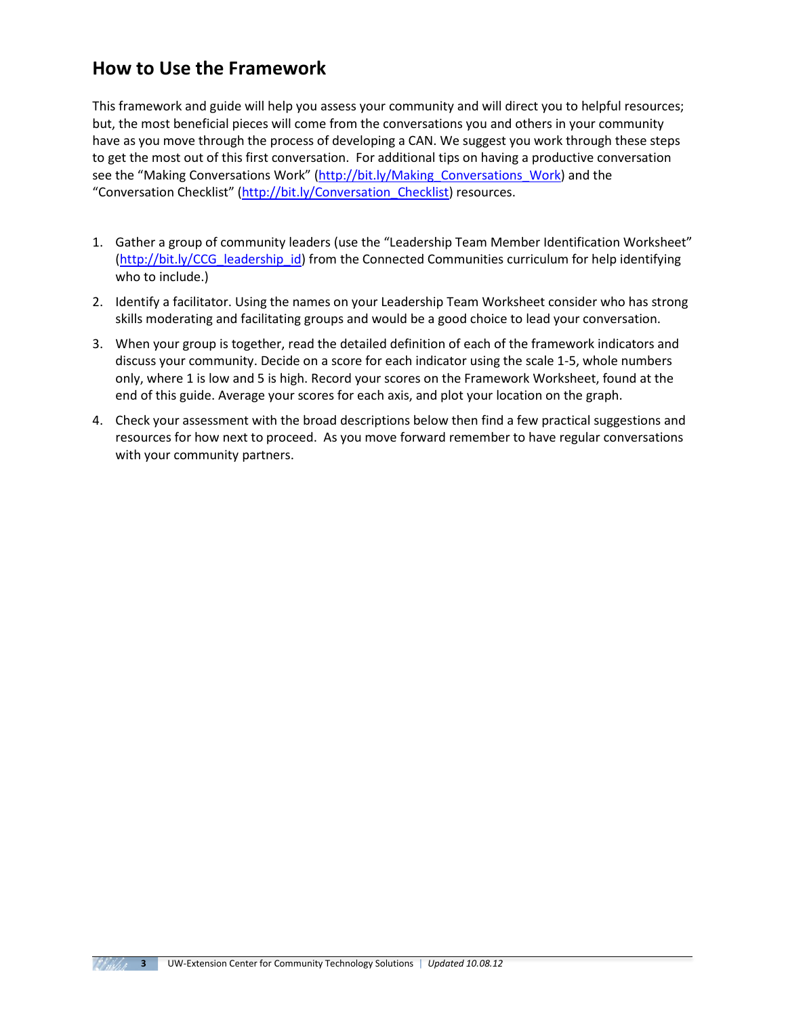## **How to Use the Framework**

This framework and guide will help you assess your community and will direct you to helpful resources; but, the most beneficial pieces will come from the conversations you and others in your community have as you move through the process of developing a CAN. We suggest you work through these steps to get the most out of this first conversation. For additional tips on having a productive conversation see the "Making Conversations Work" (http://bit.ly/Making Conversations Work) and the "Conversation Checklist" [\(http://bit.ly/Conversation\\_Checklist\)](http://bit.ly/Conversation_Checklist) resources.

- 1. Gather a group of community leaders (use the "Leadership Team Member Identification Worksheet" [\(http://bit.ly/CCG\\_leadership\\_id\)](http://bit.ly/CCG_leadership_id) from the Connected Communities curriculum for help identifying who to include.)
- 2. Identify a facilitator. Using the names on your Leadership Team Worksheet consider who has strong skills moderating and facilitating groups and would be a good choice to lead your conversation.
- 3. When your group is together, read the detailed definition of each of the framework indicators and discuss your community. Decide on a score for each indicator using the scale 1-5, whole numbers only, where 1 is low and 5 is high. Record your scores on the Framework Worksheet, found at the end of this guide. Average your scores for each axis, and plot your location on the graph.
- 4. Check your assessment with the broad descriptions below then find a few practical suggestions and resources for how next to proceed. As you move forward remember to have regular conversations with your community partners.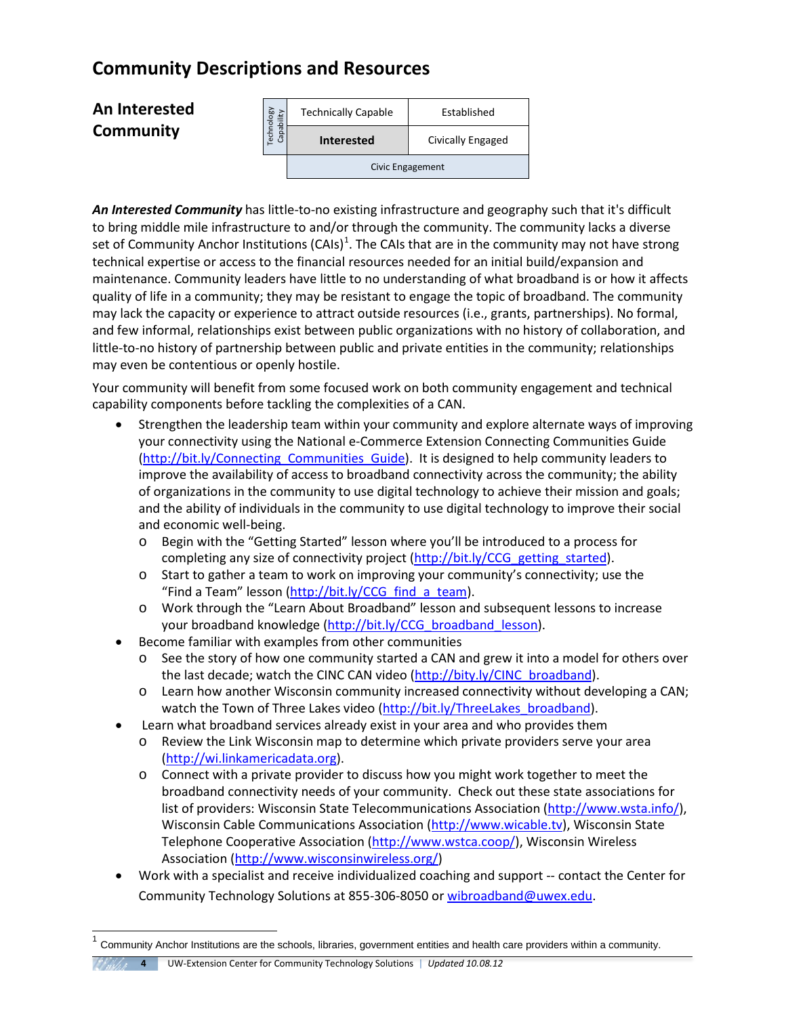# **Community Descriptions and Resources**

## **An Interested Community**

| yailiqe<br>Maqide | <b>Technically Capable</b> | Established       |  |
|-------------------|----------------------------|-------------------|--|
| ത                 | <b>Interested</b>          | Civically Engaged |  |
|                   | Civic Engagement           |                   |  |

*An Interested Community* has little-to-no existing infrastructure and geography such that it's difficult to bring middle mile infrastructure to and/or through the community. The community lacks a diverse set of Community Anchor Institutions (CAIs)<sup>[1](#page-1-0)</sup>. The CAIs that are in the community may not have strong technical expertise or access to the financial resources needed for an initial build/expansion and maintenance. Community leaders have little to no understanding of what broadband is or how it affects quality of life in a community; they may be resistant to engage the topic of broadband. The community may lack the capacity or experience to attract outside resources (i.e., grants, partnerships). No formal, and few informal, relationships exist between public organizations with no history of collaboration, and little-to-no history of partnership between public and private entities in the community; relationships may even be contentious or openly hostile. **An Interested Community And The Community Consider the schools are the schools are the schools are the schools are the schools are the schools are the school and the school and the school and the school and the school an** 

Your community will benefit from some focused work on both community engagement and technical capability components before tackling the complexities of a CAN.

- Strengthen the leadership team within your community and explore alternate ways of improving your connectivity using the National e-Commerce Extension Connecting Communities Guide (http://bit.ly/Connecting Communities Guide). It is designed to help community leaders to improve the availability of access to broadband connectivity across the community; the ability of organizations in the community to use digital technology to achieve their mission and goals; and the ability of individuals in the community to use digital technology to improve their social and economic well-being.
	- o Begin with the "Getting Started" lesson where you'll be introduced to a process for completing any size of connectivity project [\(http://bit.ly/CCG\\_getting\\_started\)](http://bit.ly/CCG_getting_started).
	- o Start to gather a team to work on improving your community's connectivity; use the "Find a Team" lesson [\(http://bit.ly/CCG\\_find\\_a\\_team\)](http://bit.ly/CCG_find_a_team).
	- o Work through the "Learn About Broadband" lesson and subsequent lessons to increase your broadband knowledge [\(http://bit.ly/CCG\\_broadband\\_lesson\)](http://bit.ly/CCG_broadband_lesson).
- Become familiar with examples from other communities
	- o See the story of how one community started a CAN and grew it into a model for others over the last decade; watch the CINC CAN video [\(http://bity.ly/CINC\\_broadband\)](http://bity.ly/CINC_broadband).
	- o Learn how another Wisconsin community increased connectivity without developing a CAN; watch the Town of Three Lakes video [\(http://bit.ly/ThreeLakes\\_broadband\)](http://bit.ly/ThreeLakes_broadband).
- Learn what broadband services already exist in your area and who provides them
	- o Review the Link Wisconsin map to determine which private providers serve your area [\(http://wi.linkamericadata.org\)](http://wi.linkamericadata.org/).
	- o Connect with a private provider to discuss how you might work together to meet the broadband connectivity needs of your community. Check out these state associations for list of providers: Wisconsin State Telecommunications Association [\(http://www.wsta.info/\)](http://www.wsta.info/), Wisconsin Cable Communications Association [\(http://www.wicable.tv\)](http://www.wicable.tv/), Wisconsin State Telephone Cooperative Association [\(http://www.wstca.coop/\)](http://www.wstca.coop/), Wisconsin Wireless Association [\(http://www.wisconsinwireless.org/\)](http://www.wisconsinwireless.org/)
- Work with a specialist and receive individualized coaching and support -- contact the Center for Community Technology Solutions at 855-306-8050 o[r wibroadband@uwex.edu.](mailto:wibroadband@uwex.edu)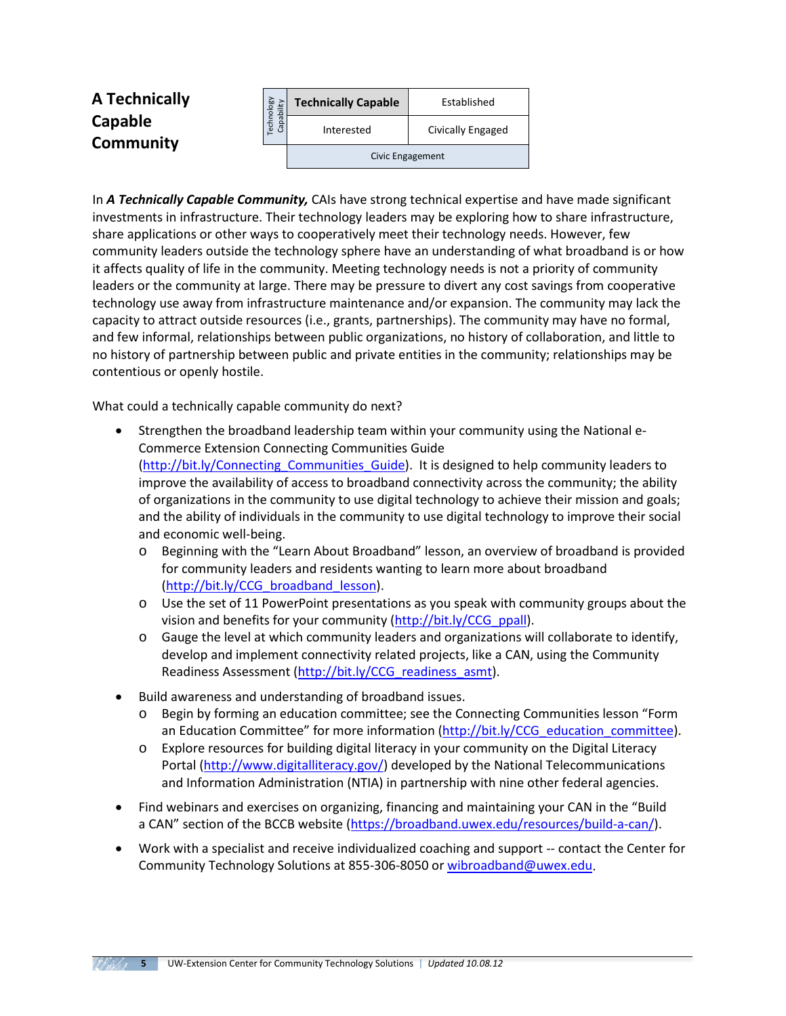| A Technically        | <b>ABolo</b><br>litγ<br>ä  | <b>Technically Capable</b> | Established       |
|----------------------|----------------------------|----------------------------|-------------------|
| Capable<br>Community | σ<br>Tech<br>$\Omega$<br>ී | Interested                 | Civically Engaged |
|                      |                            | Civic Engagement           |                   |

In *A Technically Capable Community,* CAIs have strong technical expertise and have made significant investments in infrastructure. Their technology leaders may be exploring how to share infrastructure, share applications or other ways to cooperatively meet their technology needs. However, few community leaders outside the technology sphere have an understanding of what broadband is or how it affects quality of life in the community. Meeting technology needs is not a priority of community leaders or the community at large. There may be pressure to divert any cost savings from cooperative technology use away from infrastructure maintenance and/or expansion. The community may lack the capacity to attract outside resources (i.e., grants, partnerships). The community may have no formal, and few informal, relationships between public organizations, no history of collaboration, and little to no history of partnership between public and private entities in the community; relationships may be contentious or openly hostile. **Example 11**<br> **Interested by the control of the Community,** CAIs have the control of the community of the community, CAIs have to consider the interesting and the ments in infrastructure. Their technology leaders may be ex

What could a technically capable community do next?

- Strengthen the broadband leadership team within your community using the National e-Commerce Extension Connecting Communities Guide [\(http://bit.ly/Connecting\\_Communities\\_Guide\)](http://bit.ly/Connecting_Communities_Guide). It is designed to help community leaders to improve the availability of access to broadband connectivity across the community; the ability of organizations in the community to use digital technology to achieve their mission and goals; and the ability of individuals in the community to use digital technology to improve their social and economic well-being.
	- o Beginning with the "Learn About Broadband" lesson, an overview of broadband is provided for community leaders and residents wanting to learn more about broadband [\(http://bit.ly/CCG\\_broadband\\_lesson\)](http://bit.ly/CCG_broadband_lesson).
	- o Use the set of 11 PowerPoint presentations as you speak with community groups about the vision and benefits for your community [\(http://bit.ly/CCG\\_ppall\)](http://bit.ly/CCG_ppall).
	- o Gauge the level at which community leaders and organizations will collaborate to identify, develop and implement connectivity related projects, like a CAN, using the Community Readiness Assessment [\(http://bit.ly/CCG\\_readiness\\_asmt\)](http://bit.ly/CCG_readiness_asmt).
- Build awareness and understanding of broadband issues.
	- o Begin by forming an education committee; see the Connecting Communities lesson "Form an Education Committee" for more information [\(http://bit.ly/CCG\\_education\\_committee\)](http://bit.ly/CCG_education_committee).
	- o Explore resources for building digital literacy in your community on the Digital Literacy Portal [\(http://www.digitalliteracy.gov/\)](http://www.digitalliteracy.gov/) developed by the National Telecommunications and Information Administration (NTIA) in partnership with nine other federal agencies.
- Find webinars and exercises on organizing, financing and maintaining your CAN in the "Build" a CAN" section of the BCCB website [\(https://broadband.uwex.edu/resources/build-a-can/\)](https://broadband.uwex.edu/resources/build-a-can/).
- Work with a specialist and receive individualized coaching and support -- contact the Center for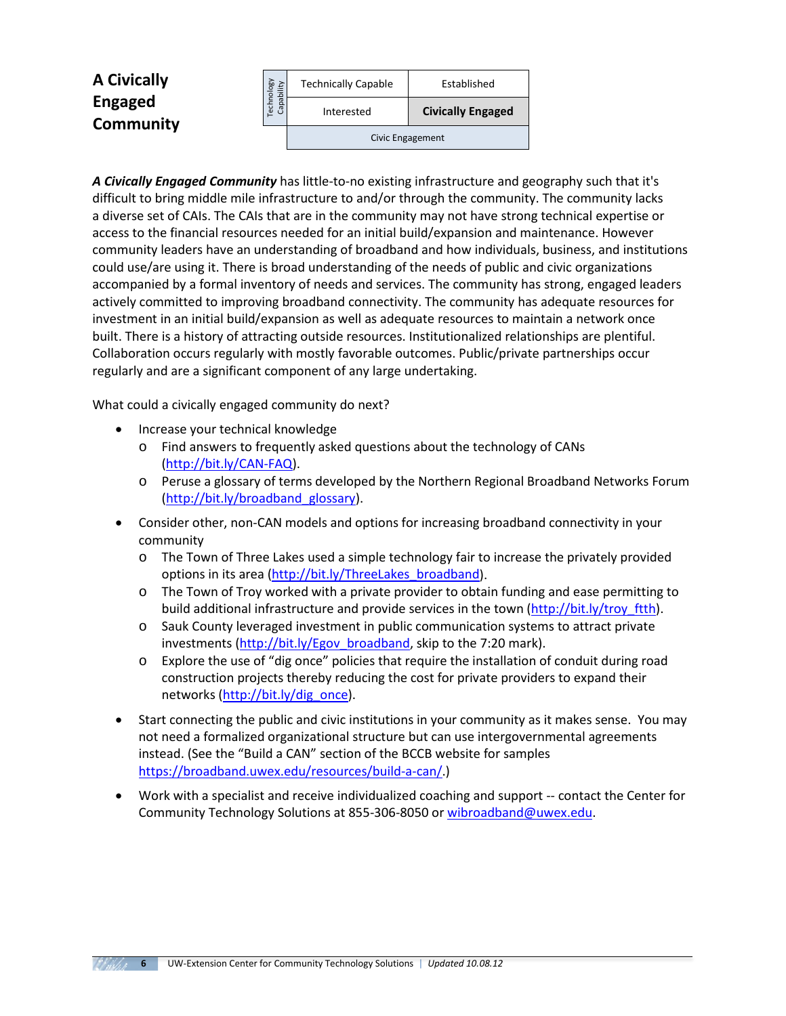| <b>A Civically</b>          | <b>Aill!</b><br>ä      | <b>Technically Capable</b> | Established              |
|-----------------------------|------------------------|----------------------------|--------------------------|
| <b>Engaged</b><br>Community | Techno<br>ᠬᠣ<br>ة<br>ී | Interested                 | <b>Civically Engaged</b> |
|                             |                        | Civic Engagement           |                          |

*A Civically Engaged Community* has little-to-no existing infrastructure and geography such that it's difficult to bring middle mile infrastructure to and/or through the community. The community lacks a diverse set of CAIs. The CAIs that are in the community may not have strong technical expertise or access to the financial resources needed for an initial build/expansion and maintenance. However community leaders have an understanding of broadband and how individuals, business, and institutions could use/are using it. There is broad understanding of the needs of public and civic organizations accompanied by a formal inventory of needs and services. The community has strong, engaged leaders actively committed to improving broadband connectivity. The community has adequate resources for investment in an initial build/expansion as well as adequate resources to maintain a network once built. There is a history of attracting outside resources. Institutionalized relationships are plentiful. Collaboration occurs regularly with mostly favorable outcomes. Public/private partnerships occur regularly and are a significant component of any large undertaking. Community Technically Graphie<br>
Established<br>
Colocally Engaged<br>
Colocally Engaged<br>
Interstate and Colocally Engaged<br>
Interstate in the control of the control of the community. The community<br>
Interstate in the control of the

What could a civically engaged community do next?

- Increase your technical knowledge
	- o Find answers to frequently asked questions about the technology of CANs [\(http://bit.ly/CAN-FAQ\)](http://bit.ly/CAN-FAQ).
	- o Peruse a glossary of terms developed by the Northern Regional Broadband Networks Forum [\(http://bit.ly/broadband\\_glossary\)](http://bit.ly/broadband_glossary).
- Consider other, non-CAN models and options for increasing broadband connectivity in your community
	- o The Town of Three Lakes used a simple technology fair to increase the privately provided options in its area [\(http://bit.ly/ThreeLakes\\_broadband\)](http://bit.ly/ThreeLakes_broadband).
	- $\circ$  The Town of Troy worked with a private provider to obtain funding and ease permitting to build additional infrastructure and provide services in the town [\(http://bit.ly/troy\\_ftth\)](http://bit.ly/troy_ftth).
	- o Sauk County leveraged investment in public communication systems to attract private investments [\(http://bit.ly/Egov\\_broadband,](http://bit.ly/Egov_broadband) skip to the 7:20 mark).
	- $\circ$  Explore the use of "dig once" policies that require the installation of conduit during road construction projects thereby reducing the cost for private providers to expand their networks [\(http://bit.ly/dig\\_once\)](http://bit.ly/dig_once).
- Start connecting the public and civic institutions in your community as it makes sense. You may not need a formalized organizational structure but can use intergovernmental agreements instead. (See the "Build a CAN" section of the BCCB website for samples [https://broadband.uwex.edu/resources/build-a-can/.](https://broadband.uwex.edu/resources/build-a-can/))
- Work with a specialist and receive individualized coaching and support -- contact the Center for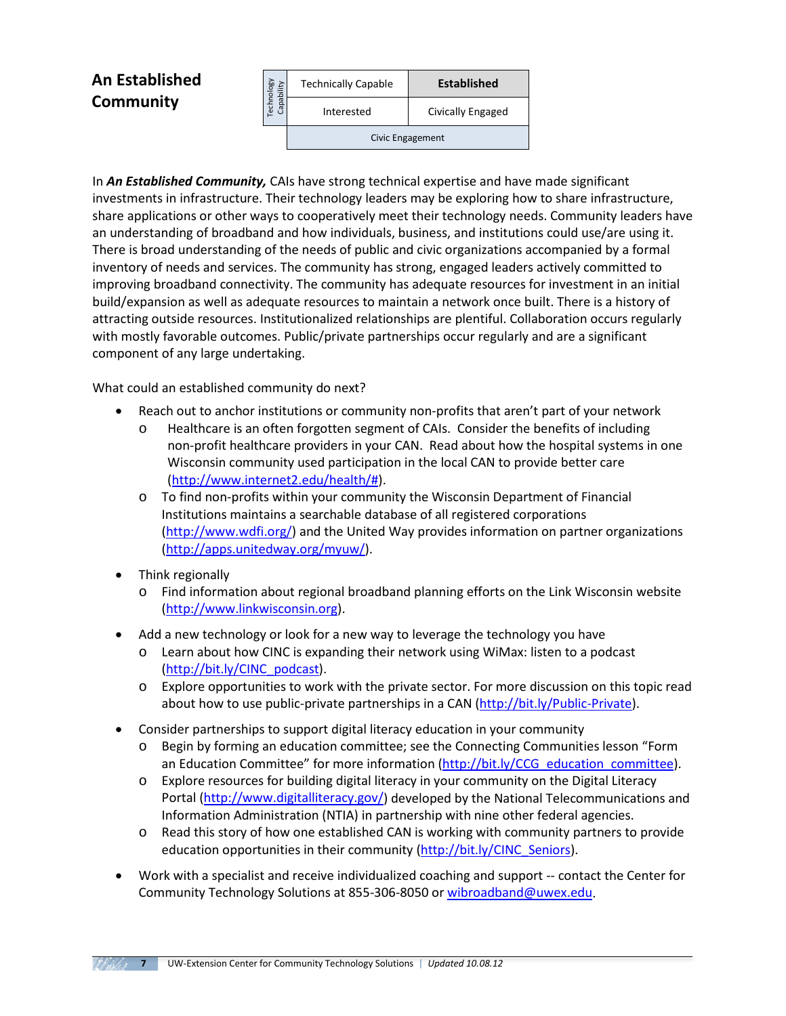## **An Established Community**

| echnology<br>Capability | <b>Technically Capable</b> | <b>Established</b> |
|-------------------------|----------------------------|--------------------|
|                         | Interested                 | Civically Engaged  |
|                         | Civic Engagement           |                    |

In *An Established Community,* CAIs have strong technical expertise and have made significant investments in infrastructure. Their technology leaders may be exploring how to share infrastructure, share applications or other ways to cooperatively meet their technology needs. Community leaders have an understanding of broadband and how individuals, business, and institutions could use/are using it. There is broad understanding of the needs of public and civic organizations accompanied by a formal inventory of needs and services. The community has strong, engaged leaders actively committed to improving broadband connectivity. The community has adequate resources for investment in an initial build/expansion as well as adequate resources to maintain a network once built. There is a history of attracting outside resources. Institutionalized relationships are plentiful. Collaboration occurs regularly with mostly favorable outcomes. Public/private partnerships occur regularly and are a significant component of any large undertaking. **Excluding the studies at the studies at the studies at the studies and the studies and the studies and the studies and the studies at the studies of the studies and the studies and the studies and the studies and the stud** 

What could an established community do next?

- Reach out to anchor institutions or community non-profits that aren't part of your network
	- o Healthcare is an often forgotten segment of CAIs. Consider the benefits of including non-profit healthcare providers in your CAN. Read about how the hospital systems in one Wisconsin community used participation in the local CAN to provide better care [\(http://www.internet2.edu/health/#\)](http://www.internet2.edu/health/).
	- o To find non-profits within your community the Wisconsin Department of Financial Institutions maintains a searchable database of all registered corporations [\(http://www.wdfi.org/\)](http://www.wdfi.org/) and the United Way provides information on partner organizations [\(http://apps.unitedway.org/myuw/\)](http://apps.unitedway.org/myuw/).
- Think regionally
	- o Find information about regional broadband planning efforts on the Link Wisconsin website [\(http://www.linkwisconsin.org\)](http://www.linkwisconsin.org/).
- Add a new technology or look for a new way to leverage the technology you have
	- o Learn about how CINC is expanding their network using WiMax: listen to a podcast [\(http://bit.ly/CINC\\_podcast\)](http://bit.ly/CINC_podcast).
	- o Explore opportunities to work with the private sector. For more discussion on this topic read about how to use public-private partnerships in a CAN [\(http://bit.ly/Public-Private\)](http://bit.ly/Public-Private).
- Consider partnerships to support digital literacy education in your community
	- o Begin by forming an education committee; see the Connecting Communities lesson "Form an Education Committee" for more information [\(http://bit.ly/CCG\\_education\\_committee\)](http://bit.ly/CCG_education_committee).
	- o Explore resources for building digital literacy in your community on the Digital Literacy Portal [\(http://www.digitalliteracy.gov/\)](http://www.digitalliteracy.gov/) developed by the National Telecommunications and Information Administration (NTIA) in partnership with nine other federal agencies.
	- o Read this story of how one established CAN is working with community partners to provide education opportunities in their community [\(http://bit.ly/CINC\\_Seniors\)](http://bit.ly/CINC_Seniors).
- Work with a specialist and receive individualized coaching and support -- contact the Center for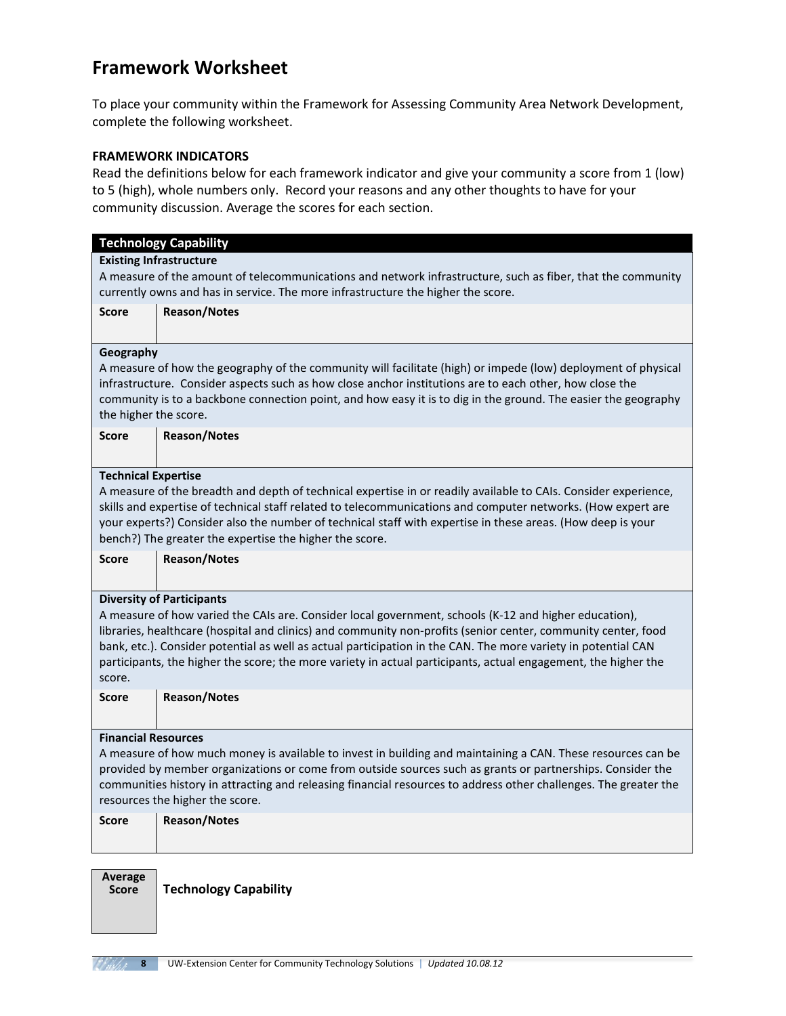## **Framework Worksheet**

To place your community within the Framework for Assessing Community Area Network Development, complete the following worksheet.

#### **FRAMEWORK INDICATORS**

Read the definitions below for each framework indicator and give your community a score from 1 (low) to 5 (high), whole numbers only. Record your reasons and any other thoughts to have for your community discussion. Average the scores for each section.

|                                                                                                                  | <b>Technology Capability</b>                                                                                    |  |
|------------------------------------------------------------------------------------------------------------------|-----------------------------------------------------------------------------------------------------------------|--|
|                                                                                                                  | <b>Existing Infrastructure</b>                                                                                  |  |
|                                                                                                                  | A measure of the amount of telecommunications and network infrastructure, such as fiber, that the community     |  |
|                                                                                                                  | currently owns and has in service. The more infrastructure the higher the score.                                |  |
| <b>Score</b>                                                                                                     | <b>Reason/Notes</b>                                                                                             |  |
|                                                                                                                  |                                                                                                                 |  |
|                                                                                                                  |                                                                                                                 |  |
| Geography                                                                                                        |                                                                                                                 |  |
|                                                                                                                  | A measure of how the geography of the community will facilitate (high) or impede (low) deployment of physical   |  |
|                                                                                                                  | infrastructure. Consider aspects such as how close anchor institutions are to each other, how close the         |  |
|                                                                                                                  | community is to a backbone connection point, and how easy it is to dig in the ground. The easier the geography  |  |
| the higher the score.                                                                                            |                                                                                                                 |  |
| <b>Score</b>                                                                                                     | <b>Reason/Notes</b>                                                                                             |  |
|                                                                                                                  |                                                                                                                 |  |
|                                                                                                                  |                                                                                                                 |  |
| <b>Technical Expertise</b>                                                                                       |                                                                                                                 |  |
|                                                                                                                  | A measure of the breadth and depth of technical expertise in or readily available to CAIs. Consider experience, |  |
|                                                                                                                  | skills and expertise of technical staff related to telecommunications and computer networks. (How expert are    |  |
|                                                                                                                  | your experts?) Consider also the number of technical staff with expertise in these areas. (How deep is your     |  |
| bench?) The greater the expertise the higher the score.                                                          |                                                                                                                 |  |
| <b>Score</b>                                                                                                     | <b>Reason/Notes</b>                                                                                             |  |
|                                                                                                                  |                                                                                                                 |  |
|                                                                                                                  |                                                                                                                 |  |
|                                                                                                                  | <b>Diversity of Participants</b>                                                                                |  |
|                                                                                                                  | A measure of how varied the CAIs are. Consider local government, schools (K-12 and higher education),           |  |
|                                                                                                                  | libraries, healthcare (hospital and clinics) and community non-profits (senior center, community center, food   |  |
|                                                                                                                  | bank, etc.). Consider potential as well as actual participation in the CAN. The more variety in potential CAN   |  |
|                                                                                                                  | participants, the higher the score; the more variety in actual participants, actual engagement, the higher the  |  |
| score.                                                                                                           |                                                                                                                 |  |
| <b>Score</b>                                                                                                     | <b>Reason/Notes</b>                                                                                             |  |
|                                                                                                                  |                                                                                                                 |  |
|                                                                                                                  |                                                                                                                 |  |
| <b>Financial Resources</b>                                                                                       |                                                                                                                 |  |
| A measure of how much money is available to invest in building and maintaining a CAN. These resources can be     |                                                                                                                 |  |
| provided by member organizations or come from outside sources such as grants or partnerships. Consider the       |                                                                                                                 |  |
| communities history in attracting and releasing financial resources to address other challenges. The greater the |                                                                                                                 |  |
| resources the higher the score.                                                                                  |                                                                                                                 |  |
| <b>Score</b>                                                                                                     | <b>Reason/Notes</b>                                                                                             |  |
|                                                                                                                  |                                                                                                                 |  |
|                                                                                                                  |                                                                                                                 |  |
|                                                                                                                  |                                                                                                                 |  |
| Average                                                                                                          |                                                                                                                 |  |
| <b>Score</b>                                                                                                     | <b>Technology Capability</b>                                                                                    |  |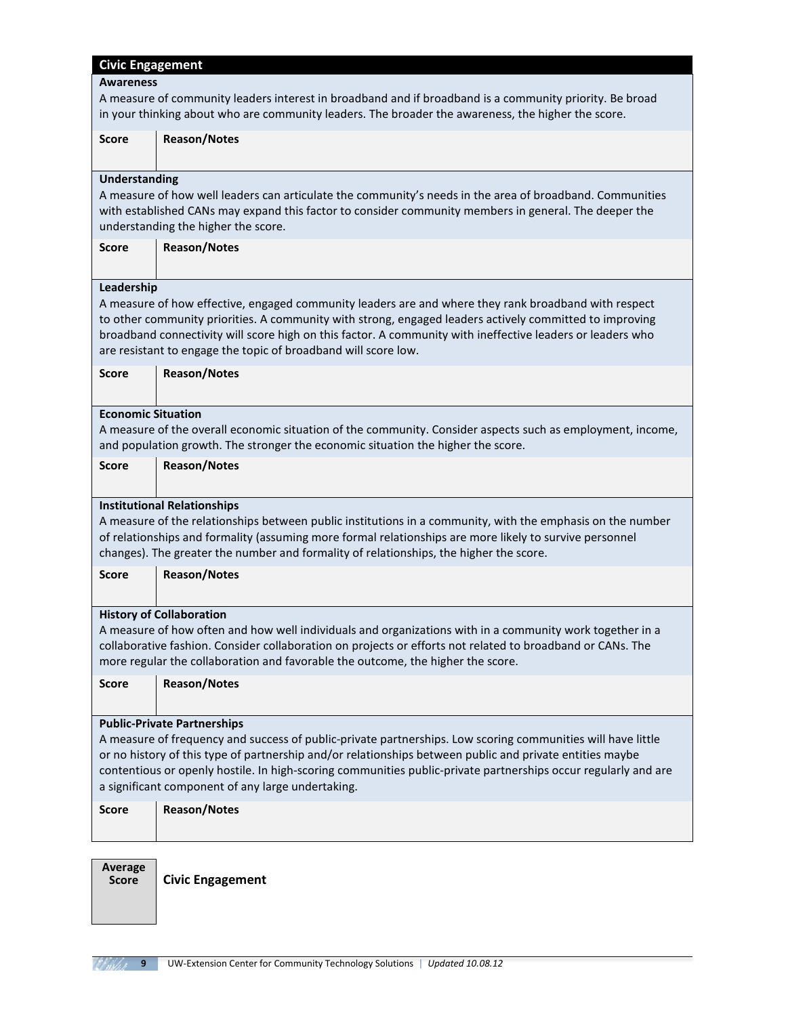| <b>Civic Engagement</b>                                                                                  |                                                                                                                |  |  |
|----------------------------------------------------------------------------------------------------------|----------------------------------------------------------------------------------------------------------------|--|--|
| <b>Awareness</b>                                                                                         |                                                                                                                |  |  |
|                                                                                                          | A measure of community leaders interest in broadband and if broadband is a community priority. Be broad        |  |  |
|                                                                                                          | in your thinking about who are community leaders. The broader the awareness, the higher the score.             |  |  |
|                                                                                                          |                                                                                                                |  |  |
| <b>Score</b>                                                                                             | <b>Reason/Notes</b>                                                                                            |  |  |
|                                                                                                          |                                                                                                                |  |  |
| <b>Understanding</b>                                                                                     |                                                                                                                |  |  |
|                                                                                                          | A measure of how well leaders can articulate the community's needs in the area of broadband. Communities       |  |  |
|                                                                                                          | with established CANs may expand this factor to consider community members in general. The deeper the          |  |  |
|                                                                                                          | understanding the higher the score.                                                                            |  |  |
| <b>Score</b>                                                                                             | <b>Reason/Notes</b>                                                                                            |  |  |
|                                                                                                          |                                                                                                                |  |  |
| Leadership                                                                                               |                                                                                                                |  |  |
|                                                                                                          | A measure of how effective, engaged community leaders are and where they rank broadband with respect           |  |  |
|                                                                                                          | to other community priorities. A community with strong, engaged leaders actively committed to improving        |  |  |
|                                                                                                          | broadband connectivity will score high on this factor. A community with ineffective leaders or leaders who     |  |  |
|                                                                                                          | are resistant to engage the topic of broadband will score low.                                                 |  |  |
| <b>Score</b>                                                                                             |                                                                                                                |  |  |
|                                                                                                          | <b>Reason/Notes</b>                                                                                            |  |  |
|                                                                                                          |                                                                                                                |  |  |
|                                                                                                          | <b>Economic Situation</b>                                                                                      |  |  |
|                                                                                                          | A measure of the overall economic situation of the community. Consider aspects such as employment, income,     |  |  |
|                                                                                                          | and population growth. The stronger the economic situation the higher the score.                               |  |  |
| <b>Score</b>                                                                                             | <b>Reason/Notes</b>                                                                                            |  |  |
|                                                                                                          |                                                                                                                |  |  |
|                                                                                                          | <b>Institutional Relationships</b>                                                                             |  |  |
|                                                                                                          | A measure of the relationships between public institutions in a community, with the emphasis on the number     |  |  |
|                                                                                                          | of relationships and formality (assuming more formal relationships are more likely to survive personnel        |  |  |
|                                                                                                          | changes). The greater the number and formality of relationships, the higher the score.                         |  |  |
| <b>Score</b>                                                                                             | <b>Reason/Notes</b>                                                                                            |  |  |
|                                                                                                          |                                                                                                                |  |  |
|                                                                                                          |                                                                                                                |  |  |
|                                                                                                          | <b>History of Collaboration</b>                                                                                |  |  |
|                                                                                                          | A measure of how often and how well individuals and organizations with in a community work together in a       |  |  |
|                                                                                                          | collaborative fashion. Consider collaboration on projects or efforts not related to broadband or CANs. The     |  |  |
|                                                                                                          | more regular the collaboration and favorable the outcome, the higher the score.                                |  |  |
| <b>Score</b>                                                                                             | <b>Reason/Notes</b>                                                                                            |  |  |
|                                                                                                          |                                                                                                                |  |  |
|                                                                                                          | <b>Public-Private Partnerships</b>                                                                             |  |  |
|                                                                                                          | A measure of frequency and success of public-private partnerships. Low scoring communities will have little    |  |  |
| or no history of this type of partnership and/or relationships between public and private entities maybe |                                                                                                                |  |  |
|                                                                                                          | contentious or openly hostile. In high-scoring communities public-private partnerships occur regularly and are |  |  |
|                                                                                                          | a significant component of any large undertaking.                                                              |  |  |
| <b>Score</b>                                                                                             | <b>Reason/Notes</b>                                                                                            |  |  |
|                                                                                                          |                                                                                                                |  |  |
|                                                                                                          |                                                                                                                |  |  |
|                                                                                                          |                                                                                                                |  |  |
| Average                                                                                                  |                                                                                                                |  |  |

**Score Civic Engagement**